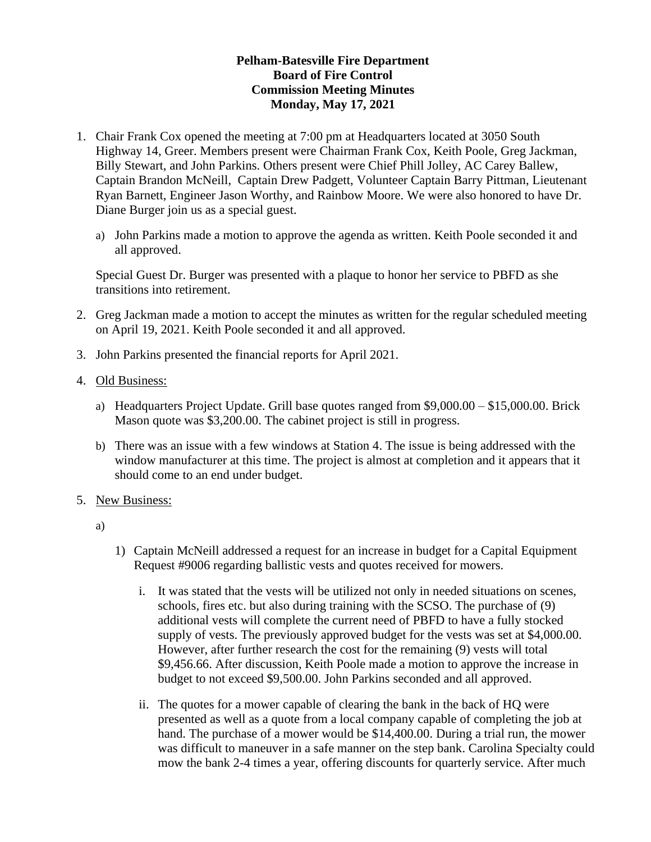## **Pelham-Batesville Fire Department Board of Fire Control Commission Meeting Minutes Monday, May 17, 2021**

- 1. Chair Frank Cox opened the meeting at 7:00 pm at Headquarters located at 3050 South Highway 14, Greer. Members present were Chairman Frank Cox, Keith Poole, Greg Jackman, Billy Stewart, and John Parkins. Others present were Chief Phill Jolley, AC Carey Ballew, Captain Brandon McNeill, Captain Drew Padgett, Volunteer Captain Barry Pittman, Lieutenant Ryan Barnett, Engineer Jason Worthy, and Rainbow Moore. We were also honored to have Dr. Diane Burger join us as a special guest.
	- a) John Parkins made a motion to approve the agenda as written. Keith Poole seconded it and all approved.

Special Guest Dr. Burger was presented with a plaque to honor her service to PBFD as she transitions into retirement.

- 2. Greg Jackman made a motion to accept the minutes as written for the regular scheduled meeting on April 19, 2021. Keith Poole seconded it and all approved.
- 3. John Parkins presented the financial reports for April 2021.
- 4. Old Business:
	- a) Headquarters Project Update. Grill base quotes ranged from \$9,000.00 \$15,000.00. Brick Mason quote was \$3,200.00. The cabinet project is still in progress.
	- b) There was an issue with a few windows at Station 4. The issue is being addressed with the window manufacturer at this time. The project is almost at completion and it appears that it should come to an end under budget.
- 5. New Business:
	- a)
- 1) Captain McNeill addressed a request for an increase in budget for a Capital Equipment Request #9006 regarding ballistic vests and quotes received for mowers.
	- i. It was stated that the vests will be utilized not only in needed situations on scenes, schools, fires etc. but also during training with the SCSO. The purchase of (9) additional vests will complete the current need of PBFD to have a fully stocked supply of vests. The previously approved budget for the vests was set at \$4,000.00. However, after further research the cost for the remaining (9) vests will total \$9,456.66. After discussion, Keith Poole made a motion to approve the increase in budget to not exceed \$9,500.00. John Parkins seconded and all approved.
	- ii. The quotes for a mower capable of clearing the bank in the back of HQ were presented as well as a quote from a local company capable of completing the job at hand. The purchase of a mower would be \$14,400.00. During a trial run, the mower was difficult to maneuver in a safe manner on the step bank. Carolina Specialty could mow the bank 2-4 times a year, offering discounts for quarterly service. After much